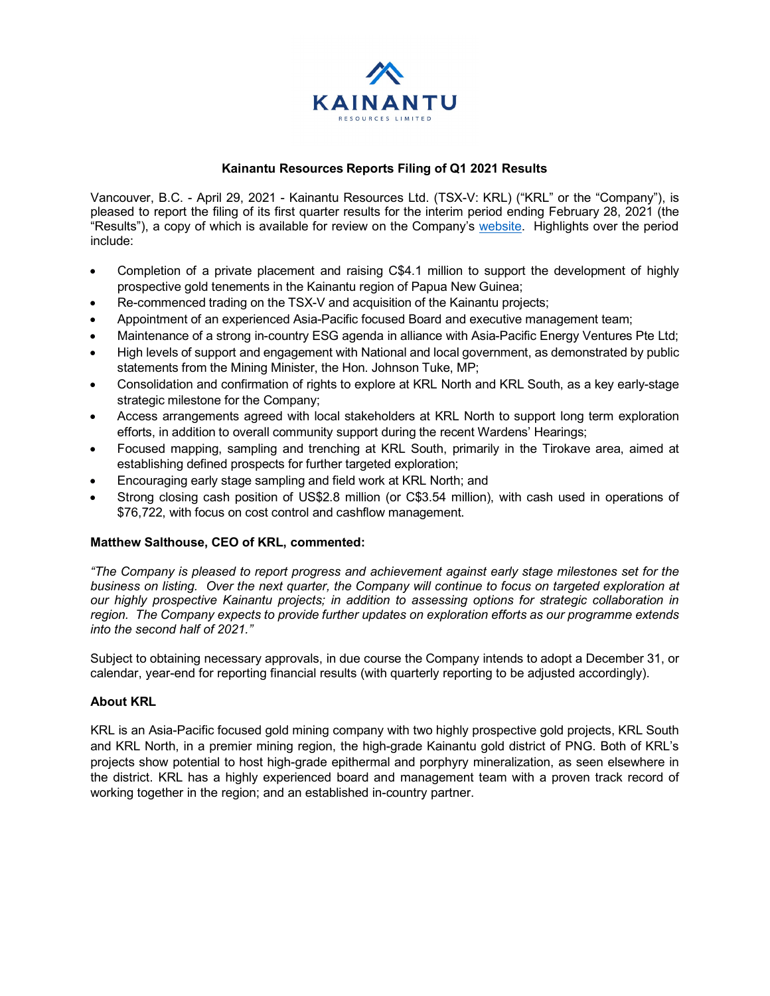

## **Kainantu Resources Reports Filing of Q1 2021 Results**

Vancouver, B.C. - April 29, 2021 - Kainantu Resources Ltd. (TSX-V: KRL) ("KRL" or the "Company"), is pleased to report the filing of its first quarter results for the interim period ending February 28, 2021 (the "Results"), a copy of which is available for review on the Company's [website.](https://kainanturesources.com/) Highlights over the period include:

- Completion of a private placement and raising C\$4.1 million to support the development of highly prospective gold tenements in the Kainantu region of Papua New Guinea;
- Re-commenced trading on the TSX-V and acquisition of the Kainantu projects;
- Appointment of an experienced Asia-Pacific focused Board and executive management team;
- Maintenance of a strong in-country ESG agenda in alliance with Asia-Pacific Energy Ventures Pte Ltd;
- High levels of support and engagement with National and local government, as demonstrated by public statements from the Mining Minister, the Hon. Johnson Tuke, MP;
- Consolidation and confirmation of rights to explore at KRL North and KRL South, as a key early-stage strategic milestone for the Company;
- Access arrangements agreed with local stakeholders at KRL North to support long term exploration efforts, in addition to overall community support during the recent Wardens' Hearings;
- Focused mapping, sampling and trenching at KRL South, primarily in the Tirokave area, aimed at establishing defined prospects for further targeted exploration;
- Encouraging early stage sampling and field work at KRL North; and
- Strong closing cash position of US\$2.8 million (or C\$3.54 million), with cash used in operations of \$76,722, with focus on cost control and cashflow management.

## **Matthew Salthouse, CEO of KRL, commented:**

*"The Company is pleased to report progress and achievement against early stage milestones set for the business on listing. Over the next quarter, the Company will continue to focus on targeted exploration at our highly prospective Kainantu projects; in addition to assessing options for strategic collaboration in region. The Company expects to provide further updates on exploration efforts as our programme extends into the second half of 2021."* 

Subject to obtaining necessary approvals, in due course the Company intends to adopt a December 31, or calendar, year-end for reporting financial results (with quarterly reporting to be adjusted accordingly).

## **About KRL**

KRL is an Asia-Pacific focused gold mining company with two highly prospective gold projects, KRL South and KRL North, in a premier mining region, the high-grade Kainantu gold district of PNG. Both of KRL's projects show potential to host high-grade epithermal and porphyry mineralization, as seen elsewhere in the district. KRL has a highly experienced board and management team with a proven track record of working together in the region; and an established in-country partner.